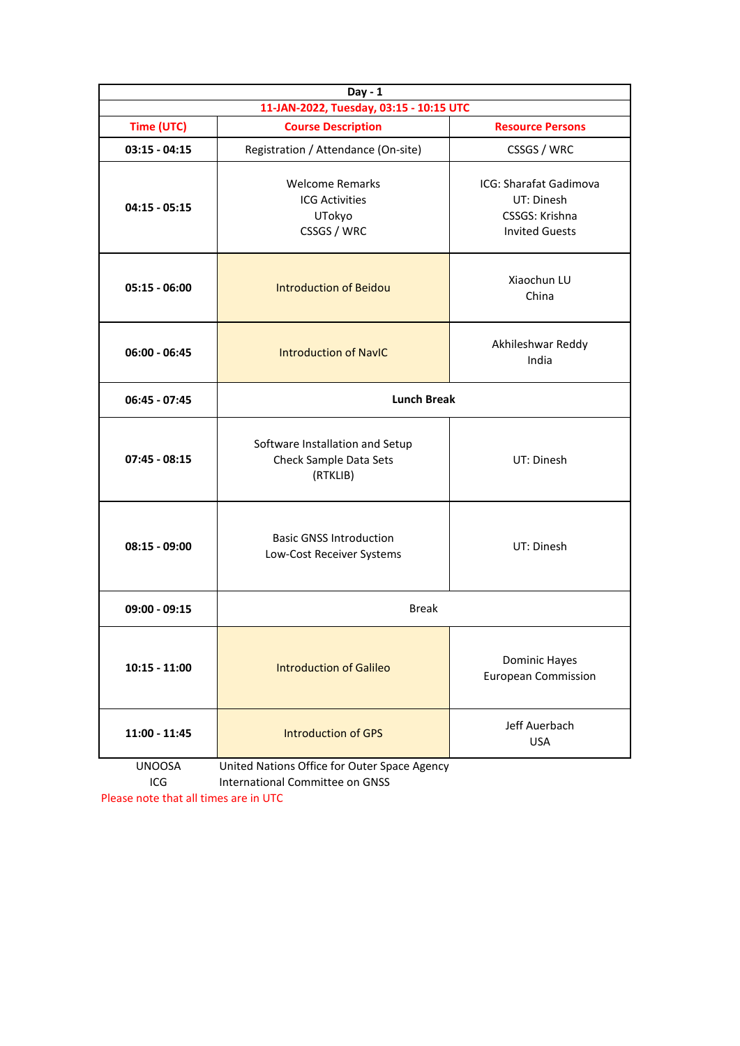| Day - 1<br>11-JAN-2022, Tuesday, 03:15 - 10:15 UTC |                                                                          |                                                                                 |  |  |  |  |
|----------------------------------------------------|--------------------------------------------------------------------------|---------------------------------------------------------------------------------|--|--|--|--|
| Time (UTC)                                         | <b>Course Description</b><br><b>Resource Persons</b>                     |                                                                                 |  |  |  |  |
| $03:15 - 04:15$                                    | Registration / Attendance (On-site)                                      | CSSGS / WRC                                                                     |  |  |  |  |
| $04:15 - 05:15$                                    | <b>Welcome Remarks</b><br><b>ICG Activities</b><br>UTokyo<br>CSSGS / WRC | ICG: Sharafat Gadimova<br>UT: Dinesh<br>CSSGS: Krishna<br><b>Invited Guests</b> |  |  |  |  |
| $05:15 - 06:00$                                    | Xiaochun LU<br><b>Introduction of Beidou</b><br>China                    |                                                                                 |  |  |  |  |
| $06:00 - 06:45$                                    | <b>Introduction of NavIC</b>                                             | Akhileshwar Reddy<br>India                                                      |  |  |  |  |
| $06:45 - 07:45$                                    | <b>Lunch Break</b>                                                       |                                                                                 |  |  |  |  |
| $07:45 - 08:15$                                    | Software Installation and Setup<br>Check Sample Data Sets<br>(RTKLIB)    | UT: Dinesh                                                                      |  |  |  |  |
| $08:15 - 09:00$                                    | <b>Basic GNSS Introduction</b><br>Low-Cost Receiver Systems              | UT: Dinesh                                                                      |  |  |  |  |
| $09:00 - 09:15$                                    | <b>Break</b>                                                             |                                                                                 |  |  |  |  |
| $10:15 - 11:00$                                    | <b>Introduction of Galileo</b>                                           | <b>Dominic Hayes</b><br><b>European Commission</b>                              |  |  |  |  |
| 11:00 - 11:45<br><b>IINIOOCA</b>                   | Jeff Auerbach<br><b>Introduction of GPS</b><br><b>USA</b>                |                                                                                 |  |  |  |  |

UNOOSA United Nations Office for Outer Space Agency ICG International Committee on GNSS

Please note that all times are in UTC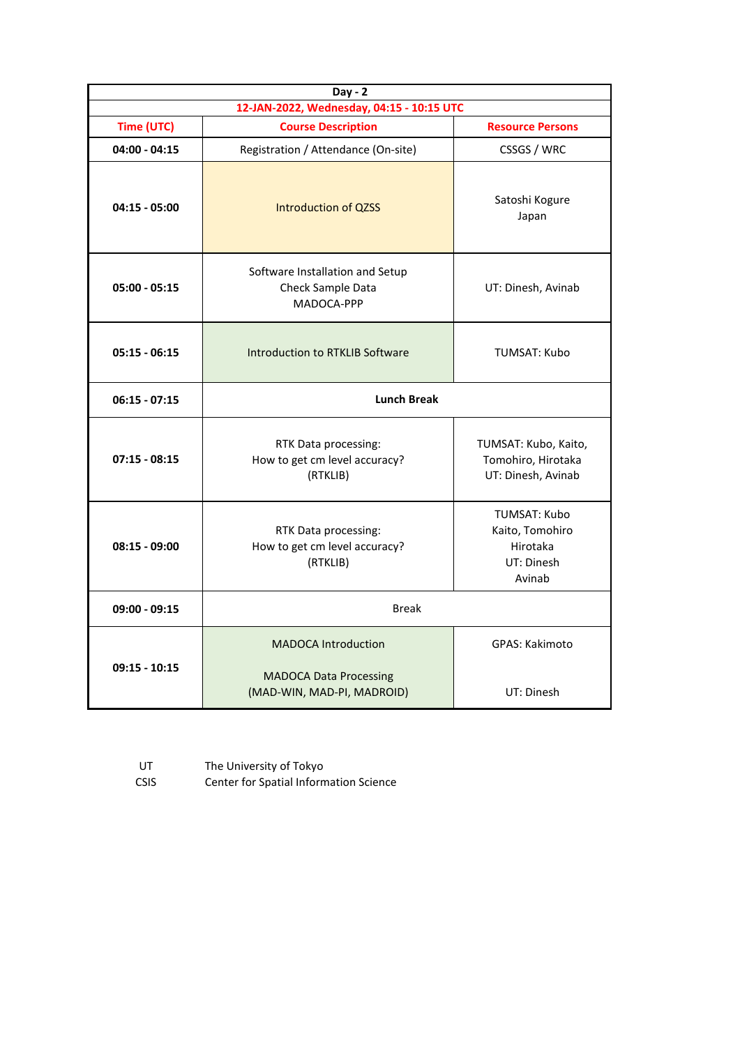| Day - 2                                                                              |                                                                                           |                                                                     |  |  |  |
|--------------------------------------------------------------------------------------|-------------------------------------------------------------------------------------------|---------------------------------------------------------------------|--|--|--|
| 12-JAN-2022, Wednesday, 04:15 - 10:15 UTC                                            |                                                                                           |                                                                     |  |  |  |
| Time (UTC)                                                                           | <b>Course Description</b>                                                                 | <b>Resource Persons</b>                                             |  |  |  |
| $04:00 - 04:15$                                                                      | Registration / Attendance (On-site)<br>CSSGS / WRC                                        |                                                                     |  |  |  |
| $04:15 - 05:00$                                                                      | Introduction of QZSS                                                                      | Satoshi Kogure<br>Japan                                             |  |  |  |
| $05:00 - 05:15$                                                                      | Software Installation and Setup<br>Check Sample Data<br>UT: Dinesh, Avinab<br>MADOCA-PPP  |                                                                     |  |  |  |
| $05:15 - 06:15$<br><b>Introduction to RTKLIB Software</b>                            |                                                                                           | <b>TUMSAT: Kubo</b>                                                 |  |  |  |
| $06:15 - 07:15$                                                                      | <b>Lunch Break</b>                                                                        |                                                                     |  |  |  |
| $07:15 - 08:15$                                                                      | RTK Data processing:<br>How to get cm level accuracy?<br>(RTKLIB)                         | TUMSAT: Kubo, Kaito,<br>Tomohiro, Hirotaka<br>UT: Dinesh, Avinab    |  |  |  |
| RTK Data processing:<br>$08:15 - 09:00$<br>How to get cm level accuracy?<br>(RTKLIB) |                                                                                           | TUMSAT: Kubo<br>Kaito, Tomohiro<br>Hirotaka<br>UT: Dinesh<br>Avinab |  |  |  |
| $09:00 - 09:15$                                                                      | <b>Break</b>                                                                              |                                                                     |  |  |  |
| $09:15 - 10:15$                                                                      | <b>MADOCA Introduction</b><br><b>MADOCA Data Processing</b><br>(MAD-WIN, MAD-PI, MADROID) | <b>GPAS: Kakimoto</b><br>UT: Dinesh                                 |  |  |  |

| UT          | The University of Tokyo                |
|-------------|----------------------------------------|
| <b>CSIS</b> | Center for Spatial Information Science |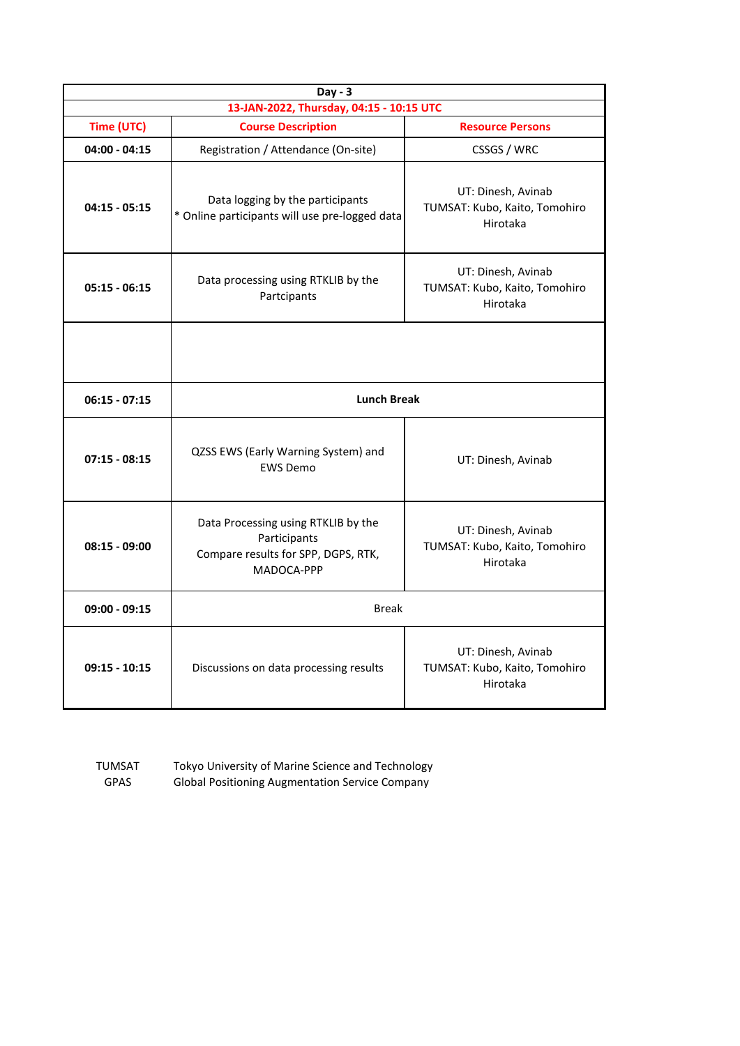| $Day - 3$                                |                                                                                                          |                                                                 |  |  |
|------------------------------------------|----------------------------------------------------------------------------------------------------------|-----------------------------------------------------------------|--|--|
| 13-JAN-2022, Thursday, 04:15 - 10:15 UTC |                                                                                                          |                                                                 |  |  |
| Time (UTC)                               | <b>Course Description</b>                                                                                | <b>Resource Persons</b>                                         |  |  |
| $04:00 - 04:15$                          | Registration / Attendance (On-site)                                                                      | CSSGS / WRC                                                     |  |  |
| $04:15 - 05:15$                          | Data logging by the participants<br>* Online participants will use pre-logged data                       | UT: Dinesh, Avinab<br>TUMSAT: Kubo, Kaito, Tomohiro<br>Hirotaka |  |  |
| $05:15 - 06:15$                          | Data processing using RTKLIB by the<br>Partcipants                                                       | UT: Dinesh, Avinab<br>TUMSAT: Kubo, Kaito, Tomohiro<br>Hirotaka |  |  |
|                                          |                                                                                                          |                                                                 |  |  |
| $06:15 - 07:15$                          | <b>Lunch Break</b>                                                                                       |                                                                 |  |  |
| $07:15 - 08:15$                          | QZSS EWS (Early Warning System) and<br><b>EWS Demo</b>                                                   | UT: Dinesh, Avinab                                              |  |  |
| $08:15 - 09:00$                          | Data Processing using RTKLIB by the<br>Participants<br>Compare results for SPP, DGPS, RTK,<br>MADOCA-PPP | UT: Dinesh, Avinab<br>TUMSAT: Kubo, Kaito, Tomohiro<br>Hirotaka |  |  |
| $09:00 - 09:15$                          | <b>Break</b>                                                                                             |                                                                 |  |  |
| $09:15 - 10:15$                          | UT: Dinesh, Avinab<br>TUMSAT: Kubo, Kaito, Tomohiro<br>Hirotaka                                          |                                                                 |  |  |

TUMSAT Tokyo University of Marine Science and Technology<br>GPAS Global Positioning Augmentation Service Company Global Positioning Augmentation Service Company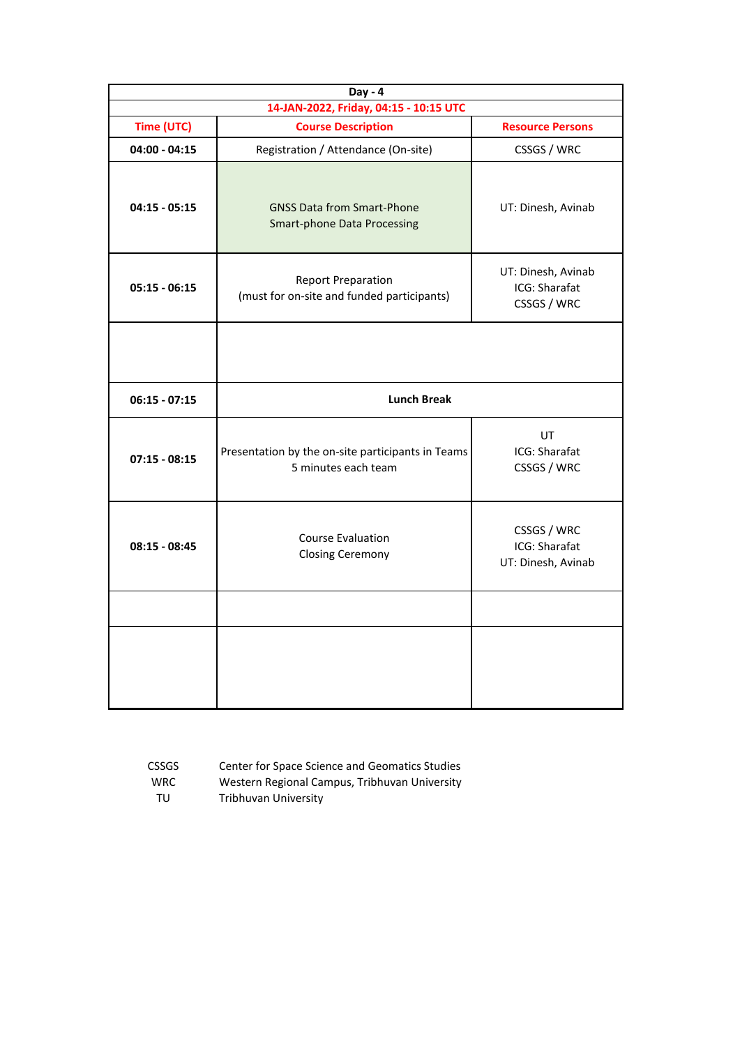| Day - 4<br>14-JAN-2022, Friday, 04:15 - 10:15 UTC |                                                                          |                                                    |  |  |  |  |  |
|---------------------------------------------------|--------------------------------------------------------------------------|----------------------------------------------------|--|--|--|--|--|
| Time (UTC)                                        | <b>Course Description</b><br><b>Resource Persons</b>                     |                                                    |  |  |  |  |  |
| $04:00 - 04:15$                                   | Registration / Attendance (On-site)                                      | CSSGS / WRC                                        |  |  |  |  |  |
| $04:15 - 05:15$                                   | <b>GNSS Data from Smart-Phone</b><br><b>Smart-phone Data Processing</b>  | UT: Dinesh, Avinab                                 |  |  |  |  |  |
| $05:15 - 06:15$                                   | <b>Report Preparation</b><br>(must for on-site and funded participants)  | UT: Dinesh, Avinab<br>ICG: Sharafat<br>CSSGS / WRC |  |  |  |  |  |
|                                                   |                                                                          |                                                    |  |  |  |  |  |
| $06:15 - 07:15$                                   | <b>Lunch Break</b>                                                       |                                                    |  |  |  |  |  |
| $07:15 - 08:15$                                   | Presentation by the on-site participants in Teams<br>5 minutes each team | UT<br>ICG: Sharafat<br>CSSGS / WRC                 |  |  |  |  |  |
| $08:15 - 08:45$                                   | <b>Course Evaluation</b><br><b>Closing Ceremony</b>                      | CSSGS / WRC<br>ICG: Sharafat<br>UT: Dinesh, Avinab |  |  |  |  |  |
|                                                   |                                                                          |                                                    |  |  |  |  |  |
|                                                   |                                                                          |                                                    |  |  |  |  |  |

| <b>CSSGS</b> | <b>Center for Space Science and Geomatics Studies</b> |
|--------------|-------------------------------------------------------|
| <b>WRC</b>   | Western Regional Campus, Tribhuvan University         |
| TU           | Tribhuvan University                                  |